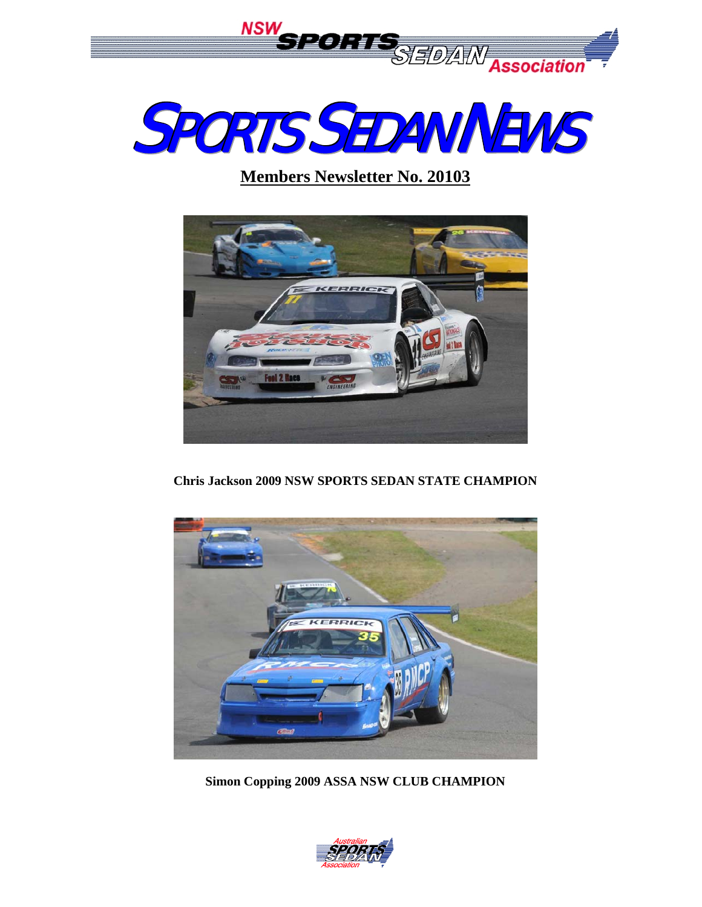



**Members Newsletter No. 20103**



**Chris Jackson 2009 NSW SPORTS SEDAN STATE CHAMPION** 



**Simon Copping 2009 ASSA NSW CLUB CHAMPION** 

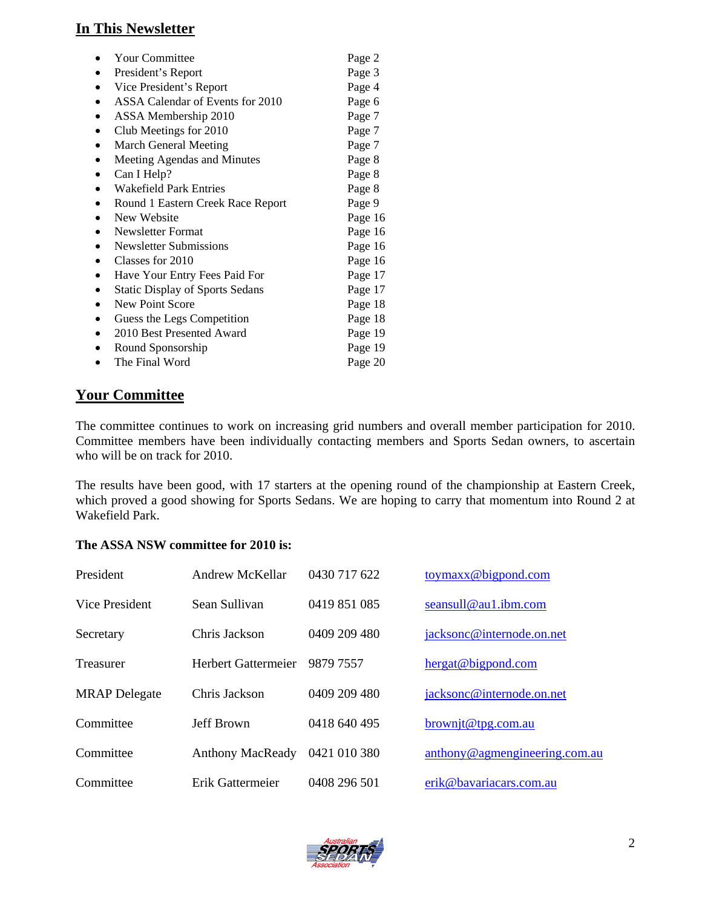## **In This Newsletter**

| <b>Your Committee</b>                  | Page 2  |
|----------------------------------------|---------|
| President's Report                     | Page 3  |
| Vice President's Report                | Page 4  |
| ASSA Calendar of Events for 2010       | Page 6  |
| ASSA Membership 2010                   | Page 7  |
| Club Meetings for 2010                 | Page 7  |
| <b>March General Meeting</b>           | Page 7  |
| Meeting Agendas and Minutes            | Page 8  |
| Can I Help?                            | Page 8  |
| <b>Wakefield Park Entries</b>          | Page 8  |
| Round 1 Eastern Creek Race Report      | Page 9  |
| New Website                            | Page 16 |
| Newsletter Format                      | Page 16 |
| Newsletter Submissions                 | Page 16 |
| Classes for 2010                       | Page 16 |
| Have Your Entry Fees Paid For          | Page 17 |
| <b>Static Display of Sports Sedans</b> | Page 17 |
| New Point Score                        | Page 18 |
| Guess the Legs Competition             | Page 18 |
| 2010 Best Presented Award              | Page 19 |
| Round Sponsorship                      | Page 19 |
| The Final Word                         | Page 20 |

# **Your Committee**

The committee continues to work on increasing grid numbers and overall member participation for 2010. Committee members have been individually contacting members and Sports Sedan owners, to ascertain who will be on track for 2010.

The results have been good, with 17 starters at the opening round of the championship at Eastern Creek, which proved a good showing for Sports Sedans. We are hoping to carry that momentum into Round 2 at Wakefield Park.

#### **The ASSA NSW committee for 2010 is:**

| President            | Andrew McKellar         | 0430 717 622 | toymax@bigpond.com            |
|----------------------|-------------------------|--------------|-------------------------------|
| Vice President       | Sean Sullivan           | 0419 851 085 | seansull@au1.ibm.com          |
| Secretary            | Chris Jackson           | 0409 209 480 | jacksonc@internode.on.net     |
| Treasurer            | Herbert Gattermeier     | 9879 7557    | hergat@bigpond.com            |
| <b>MRAP</b> Delegate | Chris Jackson           | 0409 209 480 | jacksonc@internode.on.net     |
| Committee            | <b>Jeff Brown</b>       | 0418 640 495 | brownit@tpg.com.au            |
| Committee            | <b>Anthony MacReady</b> | 0421 010 380 | anthony@agmengineering.com.au |
| Committee            | Erik Gattermeier        | 0408 296 501 | erik@bavariacars.com.au       |

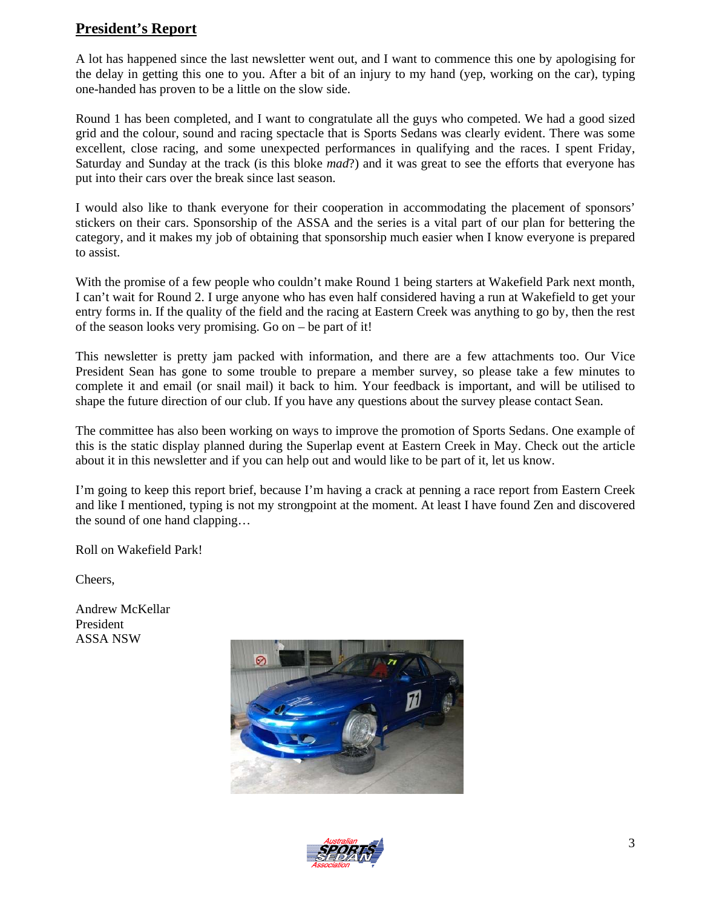## **President's Report**

A lot has happened since the last newsletter went out, and I want to commence this one by apologising for the delay in getting this one to you. After a bit of an injury to my hand (yep, working on the car), typing one-handed has proven to be a little on the slow side.

Round 1 has been completed, and I want to congratulate all the guys who competed. We had a good sized grid and the colour, sound and racing spectacle that is Sports Sedans was clearly evident. There was some excellent, close racing, and some unexpected performances in qualifying and the races. I spent Friday, Saturday and Sunday at the track (is this bloke *mad*?) and it was great to see the efforts that everyone has put into their cars over the break since last season.

I would also like to thank everyone for their cooperation in accommodating the placement of sponsors' stickers on their cars. Sponsorship of the ASSA and the series is a vital part of our plan for bettering the category, and it makes my job of obtaining that sponsorship much easier when I know everyone is prepared to assist.

With the promise of a few people who couldn't make Round 1 being starters at Wakefield Park next month, I can't wait for Round 2. I urge anyone who has even half considered having a run at Wakefield to get your entry forms in. If the quality of the field and the racing at Eastern Creek was anything to go by, then the rest of the season looks very promising. Go on – be part of it!

This newsletter is pretty jam packed with information, and there are a few attachments too. Our Vice President Sean has gone to some trouble to prepare a member survey, so please take a few minutes to complete it and email (or snail mail) it back to him. Your feedback is important, and will be utilised to shape the future direction of our club. If you have any questions about the survey please contact Sean.

The committee has also been working on ways to improve the promotion of Sports Sedans. One example of this is the static display planned during the Superlap event at Eastern Creek in May. Check out the article about it in this newsletter and if you can help out and would like to be part of it, let us know.

I'm going to keep this report brief, because I'm having a crack at penning a race report from Eastern Creek and like I mentioned, typing is not my strongpoint at the moment. At least I have found Zen and discovered the sound of one hand clapping…

Roll on Wakefield Park!

Cheers,

Andrew McKellar President ASSA NSW



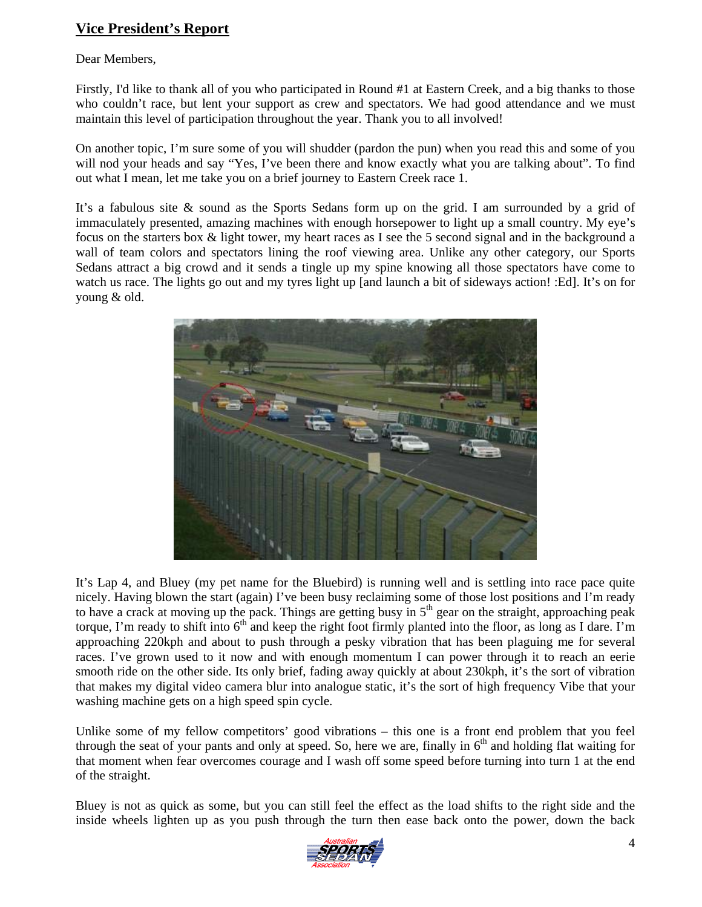# **Vice President's Report**

#### Dear Members,

Firstly, I'd like to thank all of you who participated in Round #1 at Eastern Creek, and a big thanks to those who couldn't race, but lent your support as crew and spectators. We had good attendance and we must maintain this level of participation throughout the year. Thank you to all involved!

On another topic, I'm sure some of you will shudder (pardon the pun) when you read this and some of you will nod your heads and say "Yes, I've been there and know exactly what you are talking about". To find out what I mean, let me take you on a brief journey to Eastern Creek race 1.

It's a fabulous site & sound as the Sports Sedans form up on the grid. I am surrounded by a grid of immaculately presented, amazing machines with enough horsepower to light up a small country. My eye's focus on the starters box & light tower, my heart races as I see the 5 second signal and in the background a wall of team colors and spectators lining the roof viewing area. Unlike any other category, our Sports Sedans attract a big crowd and it sends a tingle up my spine knowing all those spectators have come to watch us race. The lights go out and my tyres light up [and launch a bit of sideways action! :Ed]. It's on for young & old.



It's Lap 4, and Bluey (my pet name for the Bluebird) is running well and is settling into race pace quite nicely. Having blown the start (again) I've been busy reclaiming some of those lost positions and I'm ready to have a crack at moving up the pack. Things are getting busy in  $5<sup>th</sup>$  gear on the straight, approaching peak torque, I'm ready to shift into  $6<sup>th</sup>$  and keep the right foot firmly planted into the floor, as long as I dare. I'm approaching 220kph and about to push through a pesky vibration that has been plaguing me for several races. I've grown used to it now and with enough momentum I can power through it to reach an eerie smooth ride on the other side. Its only brief, fading away quickly at about 230kph, it's the sort of vibration that makes my digital video camera blur into analogue static, it's the sort of high frequency Vibe that your washing machine gets on a high speed spin cycle.

Unlike some of my fellow competitors' good vibrations – this one is a front end problem that you feel through the seat of your pants and only at speed. So, here we are, finally in  $6<sup>th</sup>$  and holding flat waiting for that moment when fear overcomes courage and I wash off some speed before turning into turn 1 at the end of the straight.

Bluey is not as quick as some, but you can still feel the effect as the load shifts to the right side and the inside wheels lighten up as you push through the turn then ease back onto the power, down the back

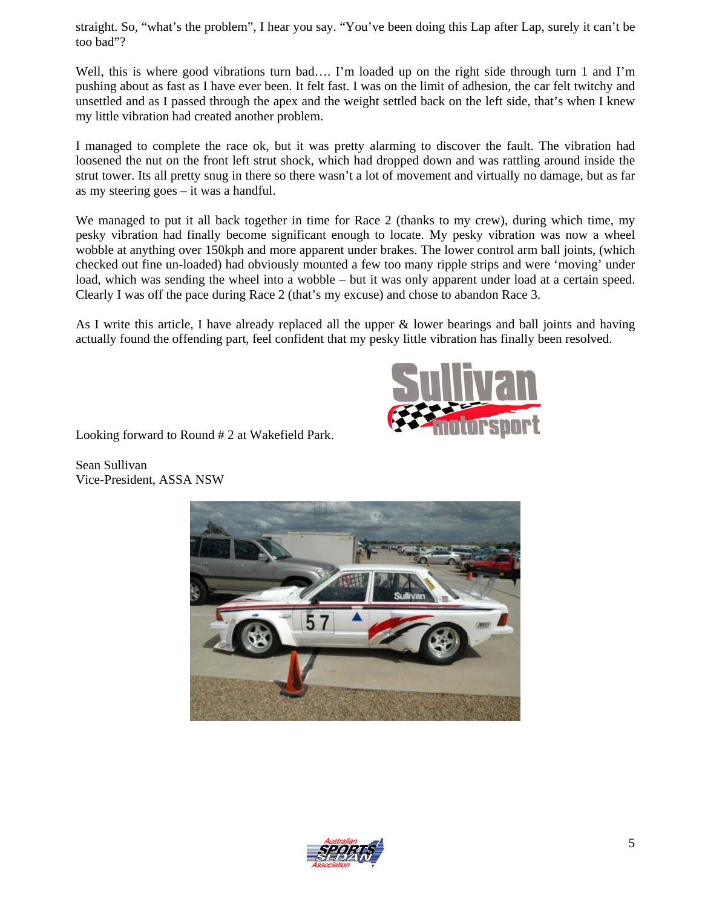straight. So, "what's the problem", I hear you say. "You've been doing this Lap after Lap, surely it can't be too bad"?

Well, this is where good vibrations turn bad.... I'm loaded up on the right side through turn 1 and I'm pushing about as fast as I have ever been. It felt fast. I was on the limit of adhesion, the car felt twitchy and unsettled and as I passed through the apex and the weight settled back on the left side, that's when I knew my little vibration had created another problem.

I managed to complete the race ok, but it was pretty alarming to discover the fault. The vibration had loosened the nut on the front left strut shock, which had dropped down and was rattling around inside the strut tower. Its all pretty snug in there so there wasn't a lot of movement and virtually no damage, but as far as my steering goes – it was a handful.

We managed to put it all back together in time for Race 2 (thanks to my crew), during which time, my pesky vibration had finally become significant enough to locate. My pesky vibration was now a wheel wobble at anything over 150kph and more apparent under brakes. The lower control arm ball joints, (which checked out fine un-loaded) had obviously mounted a few too many ripple strips and were 'moving' under load, which was sending the wheel into a wobble – but it was only apparent under load at a certain speed. Clearly I was off the pace during Race 2 (that's my excuse) and chose to abandon Race 3.

As I write this article, I have already replaced all the upper & lower bearings and ball joints and having actually found the offending part, feel confident that my pesky little vibration has finally been resolved.



Looking forward to Round # 2 at Wakefield Park.

Sean Sullivan Vice-President, ASSA NSW



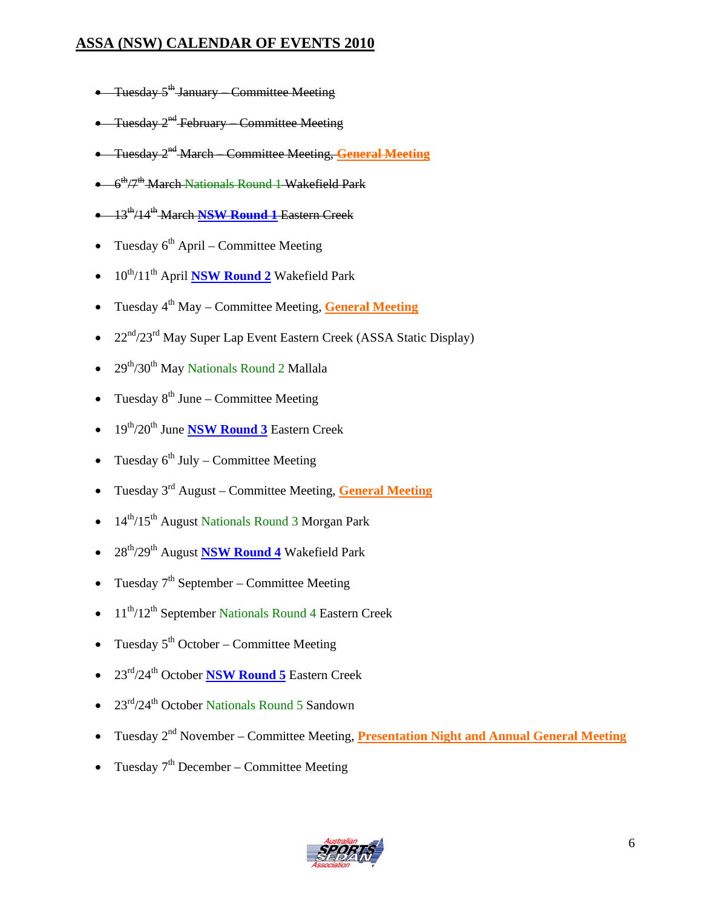# **ASSA (NSW) CALENDAR OF EVENTS 2010**

- Tuesday  $5^{\text{th}}$  January Committee Meeting
- Tuesday 2<sup>nd</sup> February Committee Meeting
- Tuesday 2nd March Committee Meeting, **General Meeting**
- $\bullet$  6<sup>th</sup>/7<sup>th</sup> March Nationals Round 1 Wakefield Park
- 13th/14th March **NSW Round 1** Eastern Creek
- Tuesday  $6<sup>th</sup>$  April Committee Meeting
- 10th/11th April **NSW Round 2** Wakefield Park
- Tuesday 4<sup>th</sup> May Committee Meeting, General Meeting
- $22<sup>nd</sup>/23<sup>rd</sup>$  May Super Lap Event Eastern Creek (ASSA Static Display)
- $29<sup>th</sup>/30<sup>th</sup>$  May Nationals Round 2 Mallala
- Tuesday  $8^{th}$  June Committee Meeting
- 19th/20th June **NSW Round 3** Eastern Creek
- Tuesday  $6^{th}$  July Committee Meeting
- Tuesday 3rd August Committee Meeting, **General Meeting**
- 14<sup>th</sup>/15<sup>th</sup> August Nationals Round 3 Morgan Park
- 28th/29th August **NSW Round 4** Wakefield Park
- Tuesday  $7<sup>th</sup>$  September Committee Meeting
- $11^{th}/12^{th}$  September Nationals Round 4 Eastern Creek
- Tuesday  $5<sup>th</sup> October Committee Meeting$
- 23rd/24th October **NSW Round 5** Eastern Creek
- $23<sup>rd</sup>/24<sup>th</sup>$  October Nationals Round 5 Sandown
- Tuesday 2<sup>nd</sup> November Committee Meeting, **Presentation Night and Annual General Meeting**
- Tuesday  $7<sup>th</sup>$  December Committee Meeting

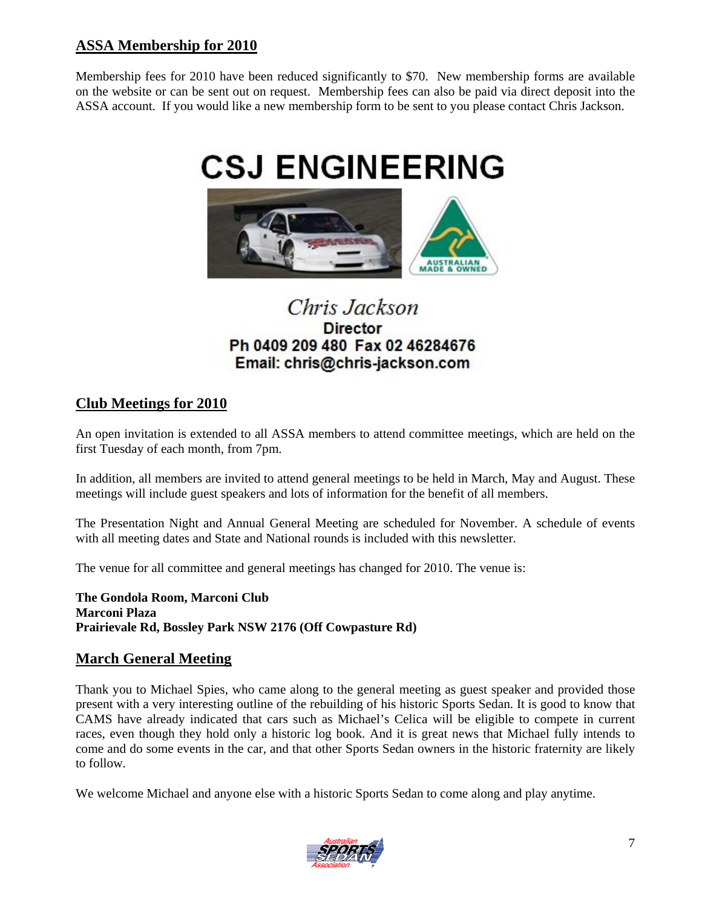# **ASSA Membership for 2010**

Membership fees for 2010 have been reduced significantly to \$70. New membership forms are available on the website or can be sent out on request. Membership fees can also be paid via direct deposit into the ASSA account. If you would like a new membership form to be sent to you please contact Chris Jackson.



# Chris Jackson **Director** Ph 0409 209 480 Fax 02 46284676 Email: chris@chris-jackson.com

## **Club Meetings for 2010**

An open invitation is extended to all ASSA members to attend committee meetings, which are held on the first Tuesday of each month, from 7pm.

In addition, all members are invited to attend general meetings to be held in March, May and August. These meetings will include guest speakers and lots of information for the benefit of all members.

The Presentation Night and Annual General Meeting are scheduled for November. A schedule of events with all meeting dates and State and National rounds is included with this newsletter.

The venue for all committee and general meetings has changed for 2010. The venue is:

**The Gondola Room, Marconi Club Marconi Plaza Prairievale Rd, Bossley Park NSW 2176 (Off Cowpasture Rd)**

## **March General Meeting**

Thank you to Michael Spies, who came along to the general meeting as guest speaker and provided those present with a very interesting outline of the rebuilding of his historic Sports Sedan. It is good to know that CAMS have already indicated that cars such as Michael's Celica will be eligible to compete in current races, even though they hold only a historic log book. And it is great news that Michael fully intends to come and do some events in the car, and that other Sports Sedan owners in the historic fraternity are likely to follow.

We welcome Michael and anyone else with a historic Sports Sedan to come along and play anytime.

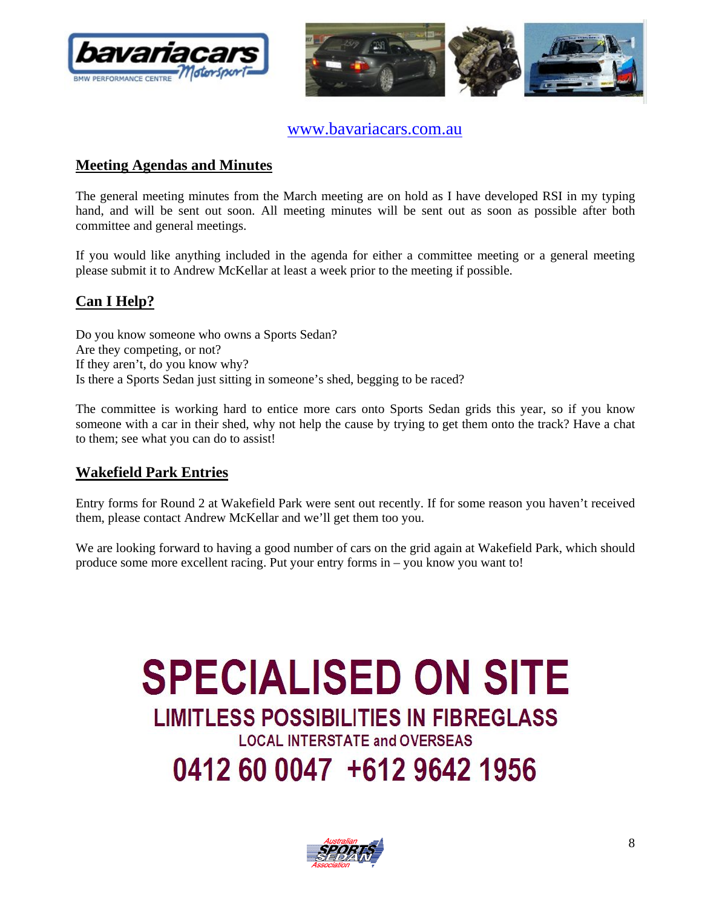



www.bavariacars.com.au

# **Meeting Agendas and Minutes**

The general meeting minutes from the March meeting are on hold as I have developed RSI in my typing hand, and will be sent out soon. All meeting minutes will be sent out as soon as possible after both committee and general meetings.

If you would like anything included in the agenda for either a committee meeting or a general meeting please submit it to Andrew McKellar at least a week prior to the meeting if possible.

# **Can I Help?**

Do you know someone who owns a Sports Sedan? Are they competing, or not? If they aren't, do you know why? Is there a Sports Sedan just sitting in someone's shed, begging to be raced?

The committee is working hard to entice more cars onto Sports Sedan grids this year, so if you know someone with a car in their shed, why not help the cause by trying to get them onto the track? Have a chat to them; see what you can do to assist!

## **Wakefield Park Entries**

Entry forms for Round 2 at Wakefield Park were sent out recently. If for some reason you haven't received them, please contact Andrew McKellar and we'll get them too you.

We are looking forward to having a good number of cars on the grid again at Wakefield Park, which should produce some more excellent racing. Put your entry forms in – you know you want to!

# **SPECIALISED ON SITE LIMITLESS POSSIBILITIES IN FIBREGLASS LOCAL INTERSTATE and OVERSEAS** 0412 60 0047 +612 9642 1956

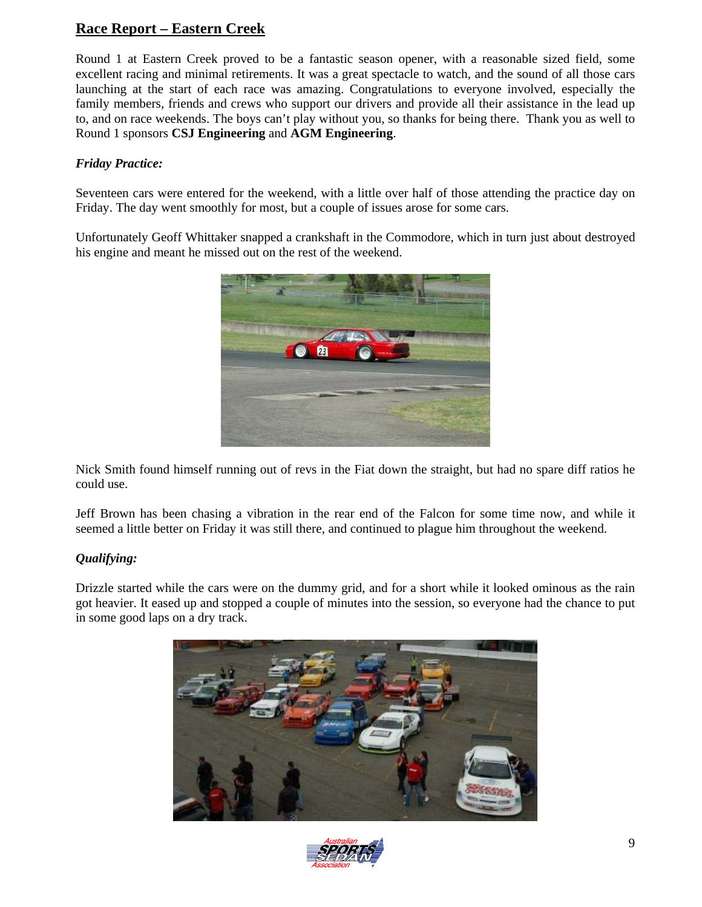# **Race Report – Eastern Creek**

Round 1 at Eastern Creek proved to be a fantastic season opener, with a reasonable sized field, some excellent racing and minimal retirements. It was a great spectacle to watch, and the sound of all those cars launching at the start of each race was amazing. Congratulations to everyone involved, especially the family members, friends and crews who support our drivers and provide all their assistance in the lead up to, and on race weekends. The boys can't play without you, so thanks for being there. Thank you as well to Round 1 sponsors **CSJ Engineering** and **AGM Engineering**.

#### *Friday Practice:*

Seventeen cars were entered for the weekend, with a little over half of those attending the practice day on Friday. The day went smoothly for most, but a couple of issues arose for some cars.

Unfortunately Geoff Whittaker snapped a crankshaft in the Commodore, which in turn just about destroyed his engine and meant he missed out on the rest of the weekend.



Nick Smith found himself running out of revs in the Fiat down the straight, but had no spare diff ratios he could use.

Jeff Brown has been chasing a vibration in the rear end of the Falcon for some time now, and while it seemed a little better on Friday it was still there, and continued to plague him throughout the weekend.

#### *Qualifying:*

Drizzle started while the cars were on the dummy grid, and for a short while it looked ominous as the rain got heavier. It eased up and stopped a couple of minutes into the session, so everyone had the chance to put in some good laps on a dry track.



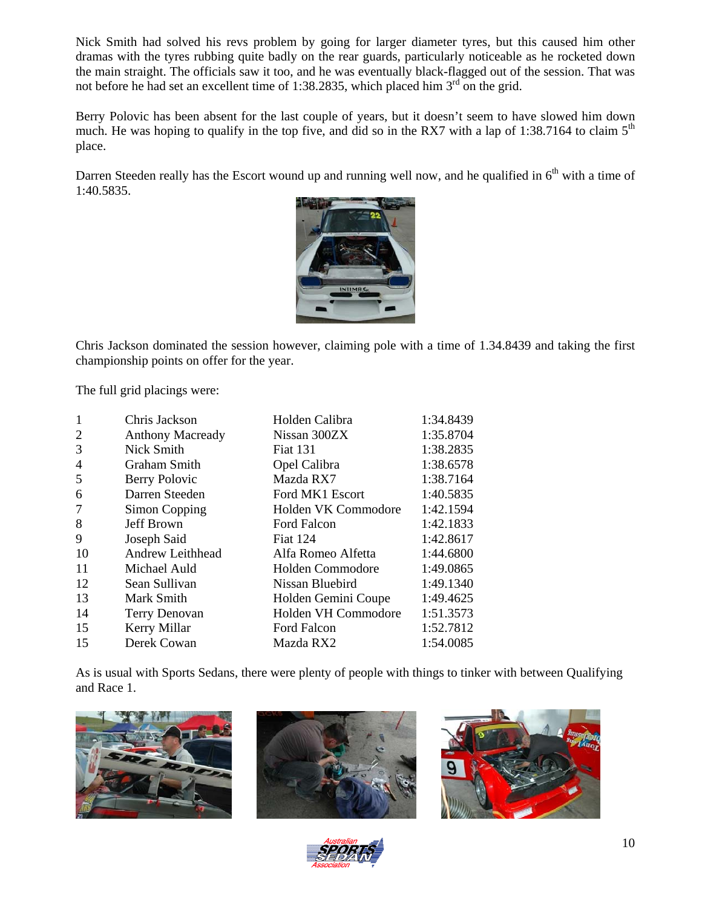Nick Smith had solved his revs problem by going for larger diameter tyres, but this caused him other dramas with the tyres rubbing quite badly on the rear guards, particularly noticeable as he rocketed down the main straight. The officials saw it too, and he was eventually black-flagged out of the session. That was not before he had set an excellent time of 1:38.2835, which placed him  $3<sup>rd</sup>$  on the grid.

Berry Polovic has been absent for the last couple of years, but it doesn't seem to have slowed him down much. He was hoping to qualify in the top five, and did so in the RX7 with a lap of 1:38.7164 to claim  $5<sup>th</sup>$ place.

Darren Steeden really has the Escort wound up and running well now, and he qualified in  $6<sup>th</sup>$  with a time of 1:40.5835.



Chris Jackson dominated the session however, claiming pole with a time of 1.34.8439 and taking the first championship points on offer for the year.

The full grid placings were:

| $\mathbf{1}$   | Chris Jackson        | Holden Calibra      | 1:34.8439 |
|----------------|----------------------|---------------------|-----------|
| $\overline{2}$ | Anthony Macready     | Nissan 300ZX        | 1:35.8704 |
| 3              | Nick Smith           | <b>Fiat 131</b>     | 1:38.2835 |
| $\overline{4}$ | <b>Graham Smith</b>  | Opel Calibra        | 1:38.6578 |
| 5              | Berry Polovic        | Mazda RX7           | 1:38.7164 |
| 6              | Darren Steeden       | Ford MK1 Escort     | 1:40.5835 |
| 7              | Simon Copping        | Holden VK Commodore | 1:42.1594 |
| 8              | <b>Jeff Brown</b>    | Ford Falcon         | 1:42.1833 |
| 9              | Joseph Said          | <b>Fiat 124</b>     | 1:42.8617 |
| -10            | Andrew Leithhead     | Alfa Romeo Alfetta  | 1:44.6800 |
| 11             | Michael Auld         | Holden Commodore    | 1:49.0865 |
| 12             | Sean Sullivan        | Nissan Bluebird     | 1:49.1340 |
| 13             | Mark Smith           | Holden Gemini Coupe | 1:49.4625 |
| 14             | <b>Terry Denovan</b> | Holden VH Commodore | 1:51.3573 |
| 15             | Kerry Millar         | Ford Falcon         | 1:52.7812 |
| 15             | Derek Cowan          | Mazda RX2           | 1:54.0085 |

As is usual with Sports Sedans, there were plenty of people with things to tinker with between Qualifying and Race 1.







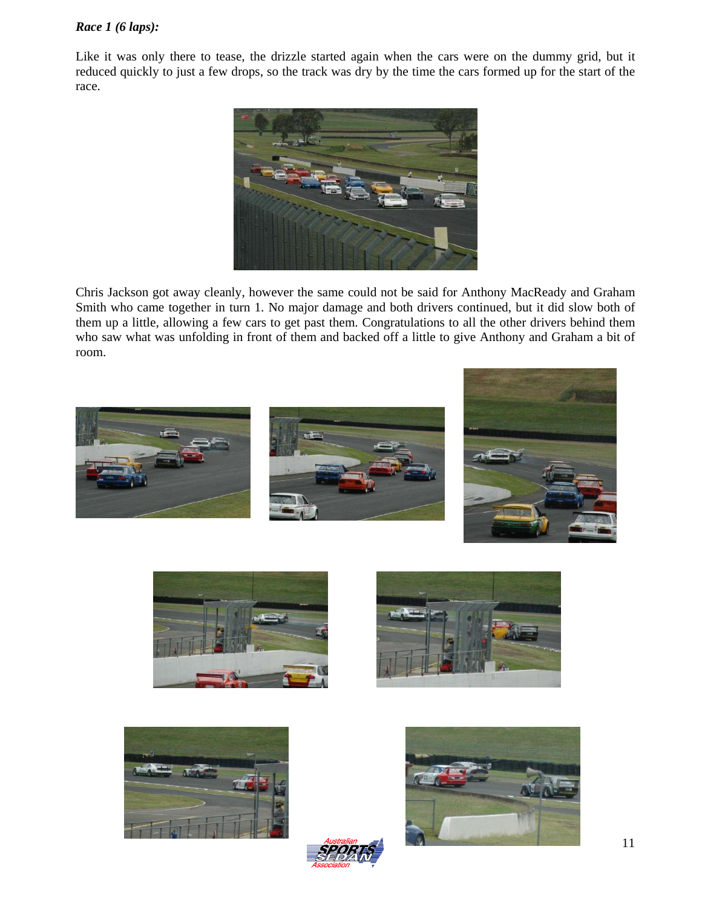#### *Race 1 (6 laps):*

Like it was only there to tease, the drizzle started again when the cars were on the dummy grid, but it reduced quickly to just a few drops, so the track was dry by the time the cars formed up for the start of the race.



Chris Jackson got away cleanly, however the same could not be said for Anthony MacReady and Graham Smith who came together in turn 1. No major damage and both drivers continued, but it did slow both of them up a little, allowing a few cars to get past them. Congratulations to all the other drivers behind them who saw what was unfolding in front of them and backed off a little to give Anthony and Graham a bit of room.















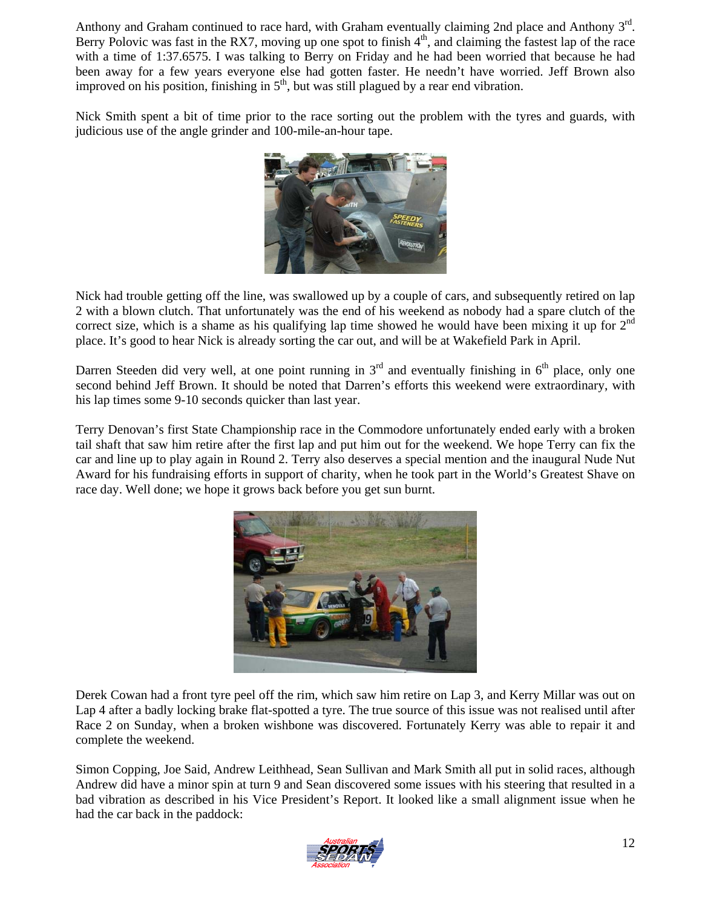Anthony and Graham continued to race hard, with Graham eventually claiming 2nd place and Anthony 3<sup>rd</sup>. Berry Polovic was fast in the RX7, moving up one spot to finish  $4<sup>th</sup>$ , and claiming the fastest lap of the race with a time of 1:37.6575. I was talking to Berry on Friday and he had been worried that because he had been away for a few years everyone else had gotten faster. He needn't have worried. Jeff Brown also improved on his position, finishing in  $5<sup>th</sup>$ , but was still plagued by a rear end vibration.

Nick Smith spent a bit of time prior to the race sorting out the problem with the tyres and guards, with judicious use of the angle grinder and 100-mile-an-hour tape.



Nick had trouble getting off the line, was swallowed up by a couple of cars, and subsequently retired on lap 2 with a blown clutch. That unfortunately was the end of his weekend as nobody had a spare clutch of the correct size, which is a shame as his qualifying lap time showed he would have been mixing it up for  $2<sup>nd</sup>$ place. It's good to hear Nick is already sorting the car out, and will be at Wakefield Park in April.

Darren Steeden did very well, at one point running in  $3<sup>rd</sup>$  and eventually finishing in  $6<sup>th</sup>$  place, only one second behind Jeff Brown. It should be noted that Darren's efforts this weekend were extraordinary, with his lap times some 9-10 seconds quicker than last year.

Terry Denovan's first State Championship race in the Commodore unfortunately ended early with a broken tail shaft that saw him retire after the first lap and put him out for the weekend. We hope Terry can fix the car and line up to play again in Round 2. Terry also deserves a special mention and the inaugural Nude Nut Award for his fundraising efforts in support of charity, when he took part in the World's Greatest Shave on race day. Well done; we hope it grows back before you get sun burnt.



Derek Cowan had a front tyre peel off the rim, which saw him retire on Lap 3, and Kerry Millar was out on Lap 4 after a badly locking brake flat-spotted a tyre. The true source of this issue was not realised until after Race 2 on Sunday, when a broken wishbone was discovered. Fortunately Kerry was able to repair it and complete the weekend.

Simon Copping, Joe Said, Andrew Leithhead, Sean Sullivan and Mark Smith all put in solid races, although Andrew did have a minor spin at turn 9 and Sean discovered some issues with his steering that resulted in a bad vibration as described in his Vice President's Report. It looked like a small alignment issue when he had the car back in the paddock:

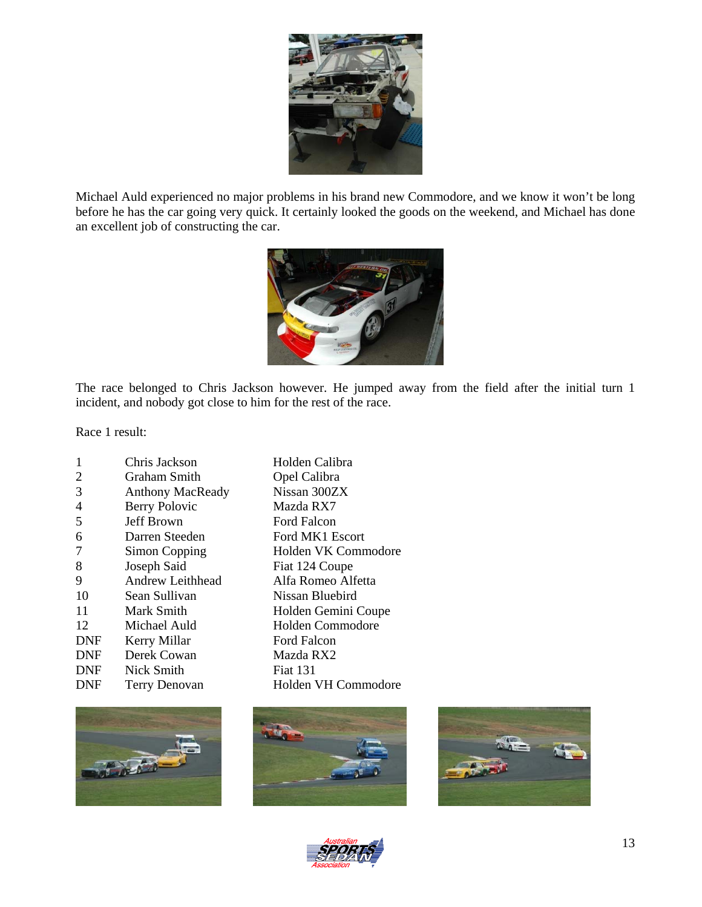

Michael Auld experienced no major problems in his brand new Commodore, and we know it won't be long before he has the car going very quick. It certainly looked the goods on the weekend, and Michael has done an excellent job of constructing the car.



The race belonged to Chris Jackson however. He jumped away from the field after the initial turn 1 incident, and nobody got close to him for the rest of the race.

Race 1 result:

| 1          | Chris Jackson           | Holden Calibra      |
|------------|-------------------------|---------------------|
| 2          | Graham Smith            | Opel Calibra        |
| 3          | <b>Anthony MacReady</b> | Nissan 300ZX        |
| 4          | <b>Berry Polovic</b>    | Mazda RX7           |
| 5          | Jeff Brown              | Ford Falcon         |
| 6          | Darren Steeden          | Ford MK1 Escort     |
| 7          | Simon Copping           | Holden VK Commodore |
| 8          | Joseph Said             | Fiat 124 Coupe      |
| 9          | Andrew Leithhead        | Alfa Romeo Alfetta  |
| 10         | Sean Sullivan           | Nissan Bluebird     |
| 11         | Mark Smith              | Holden Gemini Coupe |
| 12         | Michael Auld            | Holden Commodore    |
| <b>DNF</b> | Kerry Millar            | Ford Falcon         |
| <b>DNF</b> | Derek Cowan             | Mazda RX2           |
| <b>DNF</b> | Nick Smith              | <b>Fiat 131</b>     |
| DNF        | Terry Denovan           | Holden VH Commodore |







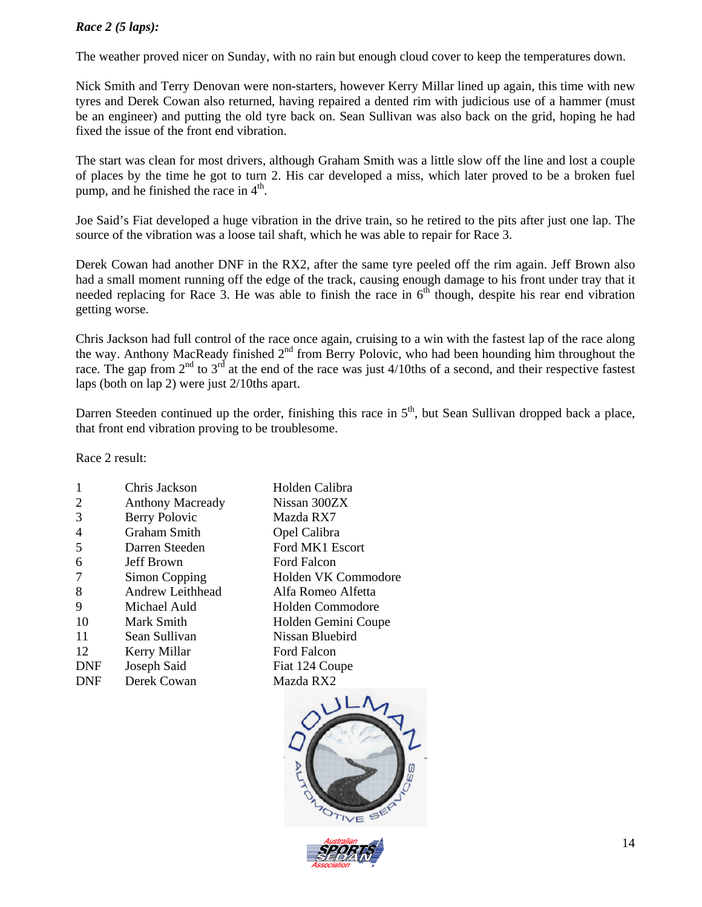#### *Race 2 (5 laps):*

The weather proved nicer on Sunday, with no rain but enough cloud cover to keep the temperatures down.

Nick Smith and Terry Denovan were non-starters, however Kerry Millar lined up again, this time with new tyres and Derek Cowan also returned, having repaired a dented rim with judicious use of a hammer (must be an engineer) and putting the old tyre back on. Sean Sullivan was also back on the grid, hoping he had fixed the issue of the front end vibration.

The start was clean for most drivers, although Graham Smith was a little slow off the line and lost a couple of places by the time he got to turn 2. His car developed a miss, which later proved to be a broken fuel pump, and he finished the race in  $4<sup>th</sup>$ .

Joe Said's Fiat developed a huge vibration in the drive train, so he retired to the pits after just one lap. The source of the vibration was a loose tail shaft, which he was able to repair for Race 3.

Derek Cowan had another DNF in the RX2, after the same tyre peeled off the rim again. Jeff Brown also had a small moment running off the edge of the track, causing enough damage to his front under tray that it needed replacing for Race 3. He was able to finish the race in  $6<sup>th</sup>$  though, despite his rear end vibration getting worse.

Chris Jackson had full control of the race once again, cruising to a win with the fastest lap of the race along the way. Anthony MacReady finished 2<sup>nd</sup> from Berry Polovic, who had been hounding him throughout the race. The gap from  $2^{nd}$  to  $3^{rd}$  at the end of the race was just 4/10ths of a second, and their respective fastest laps (both on lap 2) were just 2/10ths apart.

Darren Steeden continued up the order, finishing this race in  $5<sup>th</sup>$ , but Sean Sullivan dropped back a place, that front end vibration proving to be troublesome.

Race 2 result:

|                | Chris Jackson           | Holden Calibra      |
|----------------|-------------------------|---------------------|
| 2              | <b>Anthony Macready</b> | Nissan 300ZX        |
| 3              | Berry Polovic           | Mazda RX7           |
| $\overline{4}$ | <b>Graham Smith</b>     | Opel Calibra        |
| 5              | Darren Steeden          | Ford MK1 Escort     |
| 6              | Jeff Brown              | Ford Falcon         |
| 7              | Simon Copping           | Holden VK Commodore |
| 8              | <b>Andrew Leithhead</b> | Alfa Romeo Alfetta  |
| 9              | Michael Auld            | Holden Commodore    |
| 10             | Mark Smith              | Holden Gemini Coupe |
| 11             | Sean Sullivan           | Nissan Bluebird     |
| 12             | Kerry Millar            | Ford Falcon         |
| DNF            | Joseph Said             | Fiat 124 Coupe      |
| DNF            | Derek Cowan             | Mazda RX2           |
|                |                         |                     |



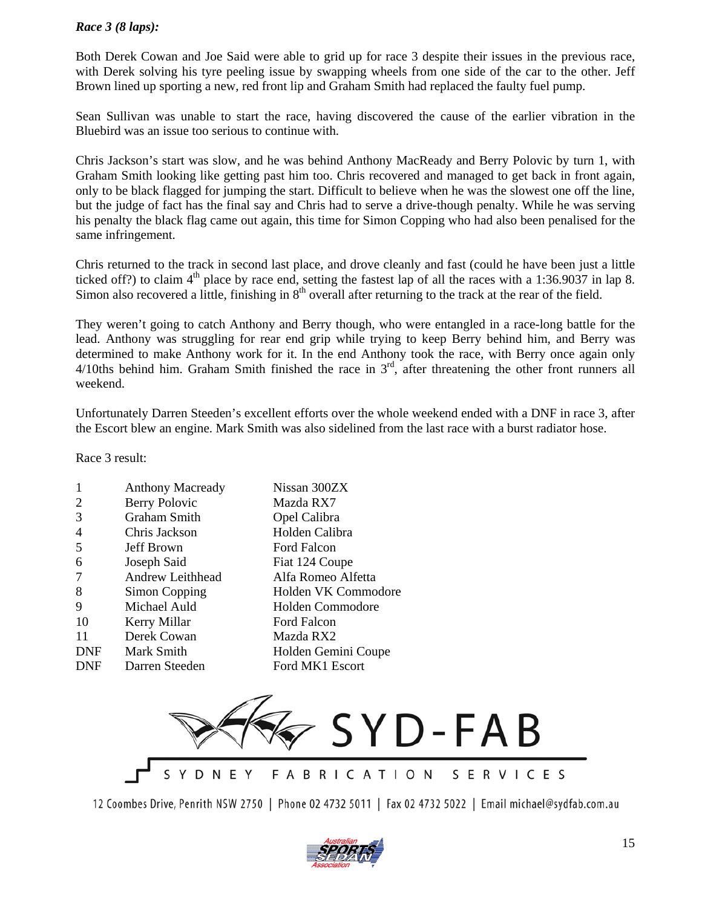#### *Race 3 (8 laps):*

Both Derek Cowan and Joe Said were able to grid up for race 3 despite their issues in the previous race, with Derek solving his tyre peeling issue by swapping wheels from one side of the car to the other. Jeff Brown lined up sporting a new, red front lip and Graham Smith had replaced the faulty fuel pump.

Sean Sullivan was unable to start the race, having discovered the cause of the earlier vibration in the Bluebird was an issue too serious to continue with.

Chris Jackson's start was slow, and he was behind Anthony MacReady and Berry Polovic by turn 1, with Graham Smith looking like getting past him too. Chris recovered and managed to get back in front again, only to be black flagged for jumping the start. Difficult to believe when he was the slowest one off the line, but the judge of fact has the final say and Chris had to serve a drive-though penalty. While he was serving his penalty the black flag came out again, this time for Simon Copping who had also been penalised for the same infringement.

Chris returned to the track in second last place, and drove cleanly and fast (could he have been just a little ticked off?) to claim  $4<sup>th</sup>$  place by race end, setting the fastest lap of all the races with a 1:36.9037 in lap 8. Simon also recovered a little, finishing in 8<sup>th</sup> overall after returning to the track at the rear of the field.

They weren't going to catch Anthony and Berry though, who were entangled in a race-long battle for the lead. Anthony was struggling for rear end grip while trying to keep Berry behind him, and Berry was determined to make Anthony work for it. In the end Anthony took the race, with Berry once again only  $4/10$ ths behind him. Graham Smith finished the race in  $3<sup>rd</sup>$ , after threatening the other front runners all weekend.

Unfortunately Darren Steeden's excellent efforts over the whole weekend ended with a DNF in race 3, after the Escort blew an engine. Mark Smith was also sidelined from the last race with a burst radiator hose.

Race 3 result:

| 1              | <b>Anthony Macready</b> | Nissan 300ZX        |
|----------------|-------------------------|---------------------|
| 2              | Berry Polovic           | Mazda RX7           |
| 3              | <b>Graham Smith</b>     | Opel Calibra        |
| $\overline{4}$ | Chris Jackson           | Holden Calibra      |
| 5              | Jeff Brown              | Ford Falcon         |
| 6              | Joseph Said             | Fiat 124 Coupe      |
| 7              | <b>Andrew Leithhead</b> | Alfa Romeo Alfetta  |
| 8              | Simon Copping           | Holden VK Commodore |
| 9              | Michael Auld            | Holden Commodore    |
| 10             | Kerry Millar            | Ford Falcon         |
| 11             | Derek Cowan             | Mazda RX2           |
| <b>DNF</b>     | Mark Smith              | Holden Gemini Coupe |
| DNF            | Darren Steeden          | Ford MK1 Escort     |
|                |                         |                     |



12 Coombes Drive, Penrith NSW 2750 | Phone 02 4732 5011 | Fax 02 4732 5022 | Email michael@sydfab.com.au

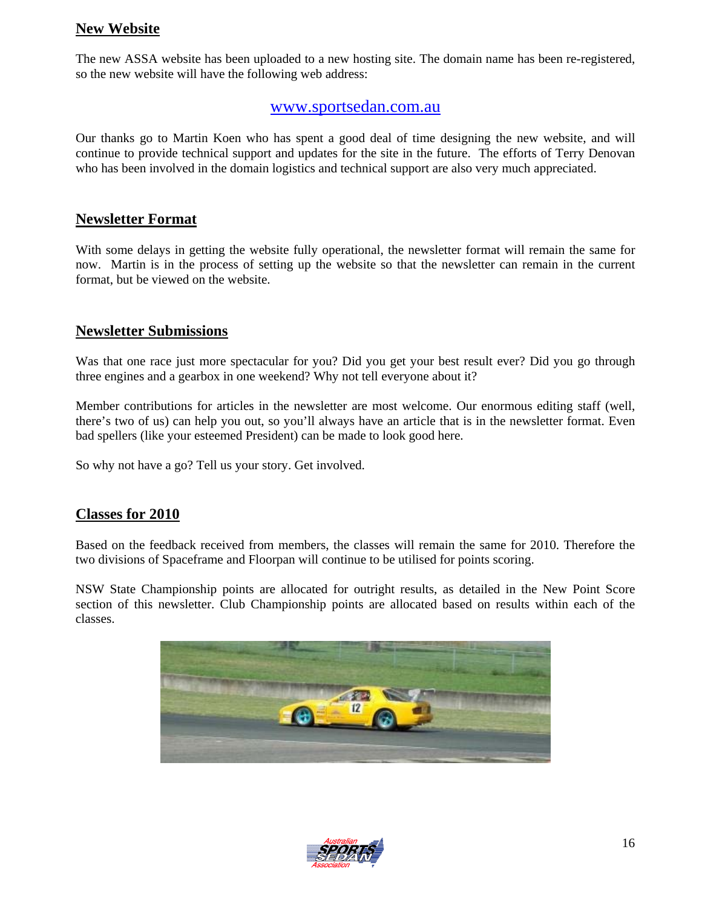## **New Website**

The new ASSA website has been uploaded to a new hosting site. The domain name has been re-registered, so the new website will have the following web address:

## www.sportsedan.com.au

Our thanks go to Martin Koen who has spent a good deal of time designing the new website, and will continue to provide technical support and updates for the site in the future. The efforts of Terry Denovan who has been involved in the domain logistics and technical support are also very much appreciated.

## **Newsletter Format**

With some delays in getting the website fully operational, the newsletter format will remain the same for now. Martin is in the process of setting up the website so that the newsletter can remain in the current format, but be viewed on the website.

## **Newsletter Submissions**

Was that one race just more spectacular for you? Did you get your best result ever? Did you go through three engines and a gearbox in one weekend? Why not tell everyone about it?

Member contributions for articles in the newsletter are most welcome. Our enormous editing staff (well, there's two of us) can help you out, so you'll always have an article that is in the newsletter format. Even bad spellers (like your esteemed President) can be made to look good here.

So why not have a go? Tell us your story. Get involved.

## **Classes for 2010**

Based on the feedback received from members, the classes will remain the same for 2010. Therefore the two divisions of Spaceframe and Floorpan will continue to be utilised for points scoring.

NSW State Championship points are allocated for outright results, as detailed in the New Point Score section of this newsletter. Club Championship points are allocated based on results within each of the classes.



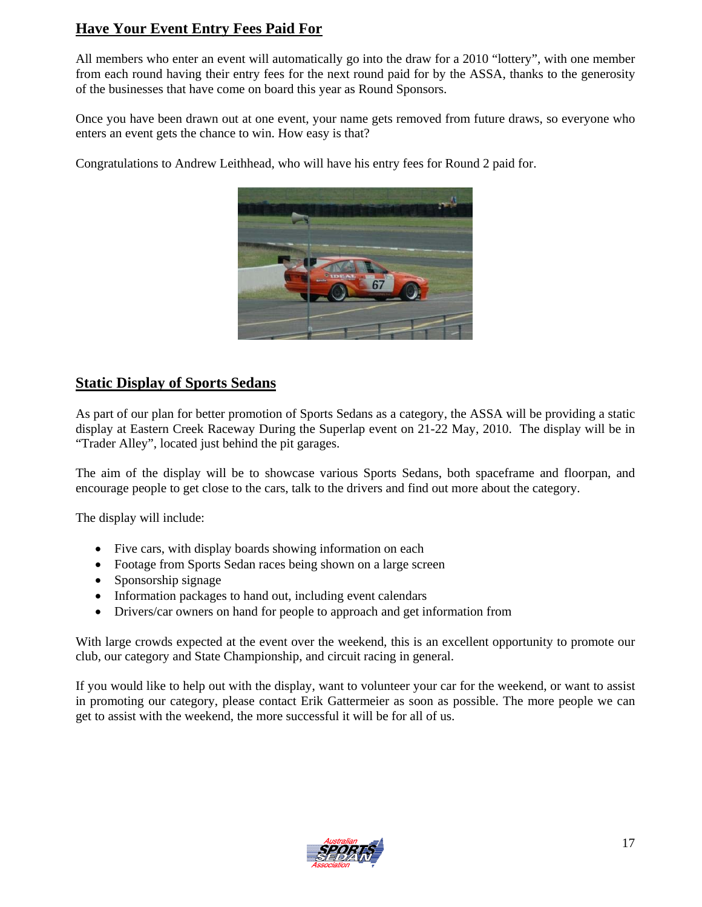# **Have Your Event Entry Fees Paid For**

All members who enter an event will automatically go into the draw for a 2010 "lottery", with one member from each round having their entry fees for the next round paid for by the ASSA, thanks to the generosity of the businesses that have come on board this year as Round Sponsors.

Once you have been drawn out at one event, your name gets removed from future draws, so everyone who enters an event gets the chance to win. How easy is that?

Congratulations to Andrew Leithhead, who will have his entry fees for Round 2 paid for.



## **Static Display of Sports Sedans**

As part of our plan for better promotion of Sports Sedans as a category, the ASSA will be providing a static display at Eastern Creek Raceway During the Superlap event on 21-22 May, 2010. The display will be in "Trader Alley", located just behind the pit garages.

The aim of the display will be to showcase various Sports Sedans, both spaceframe and floorpan, and encourage people to get close to the cars, talk to the drivers and find out more about the category.

The display will include:

- Five cars, with display boards showing information on each
- Footage from Sports Sedan races being shown on a large screen
- Sponsorship signage
- Information packages to hand out, including event calendars
- Drivers/car owners on hand for people to approach and get information from

With large crowds expected at the event over the weekend, this is an excellent opportunity to promote our club, our category and State Championship, and circuit racing in general.

If you would like to help out with the display, want to volunteer your car for the weekend, or want to assist in promoting our category, please contact Erik Gattermeier as soon as possible. The more people we can get to assist with the weekend, the more successful it will be for all of us.

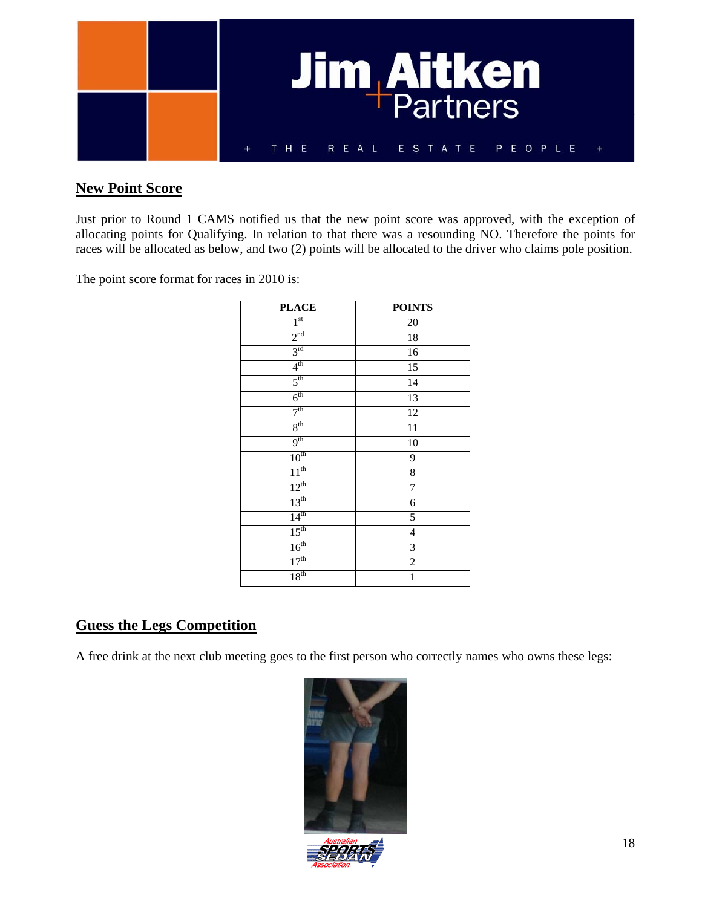

## **New Point Score**

Just prior to Round 1 CAMS notified us that the new point score was approved, with the exception of allocating points for Qualifying. In relation to that there was a resounding NO. Therefore the points for races will be allocated as below, and two (2) points will be allocated to the driver who claims pole position.

The point score format for races in 2010 is:

| <b>PLACE</b>     | <b>POINTS</b>            |
|------------------|--------------------------|
| 1 <sup>st</sup>  | 20                       |
| 2 <sup>nd</sup>  | $18\,$                   |
| 3 <sup>rd</sup>  | 16                       |
| 4 <sup>th</sup>  | 15                       |
| 5 <sup>th</sup>  | $\overline{14}$          |
| 6 <sup>th</sup>  | 13                       |
| 7 <sup>th</sup>  | 12                       |
| $8^{\text{th}}$  | 11                       |
| 9 <sup>th</sup>  | 10                       |
| 10 <sup>th</sup> | 9                        |
| 11 <sup>th</sup> | 8                        |
| $12^{th}$        | $\overline{7}$           |
| 13 <sup>th</sup> | 6                        |
| 14 <sup>th</sup> | 5                        |
| 15 <sup>th</sup> | $\overline{\mathcal{L}}$ |
| 16 <sup>th</sup> | 3                        |
| 17 <sup>th</sup> | $\overline{c}$           |
| 18 <sup>th</sup> | $\mathbf{1}$             |

## **Guess the Legs Competition**

A free drink at the next club meeting goes to the first person who correctly names who owns these legs:

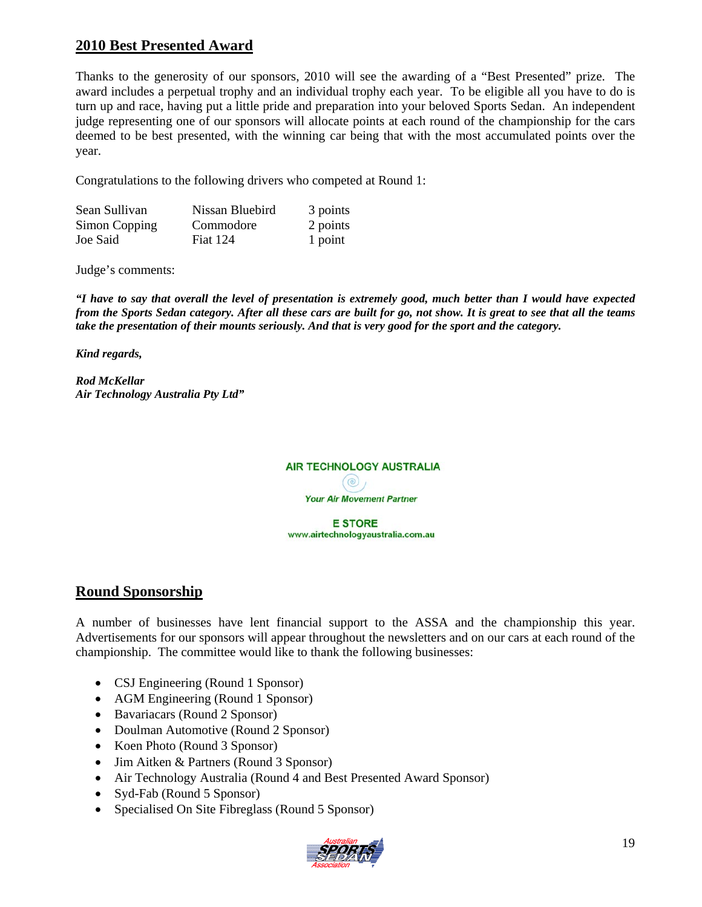# **2010 Best Presented Award**

Thanks to the generosity of our sponsors, 2010 will see the awarding of a "Best Presented" prize. The award includes a perpetual trophy and an individual trophy each year. To be eligible all you have to do is turn up and race, having put a little pride and preparation into your beloved Sports Sedan. An independent judge representing one of our sponsors will allocate points at each round of the championship for the cars deemed to be best presented, with the winning car being that with the most accumulated points over the year.

Congratulations to the following drivers who competed at Round 1:

| Sean Sullivan | Nissan Bluebird | 3 points |
|---------------|-----------------|----------|
| Simon Copping | Commodore       | 2 points |
| Joe Said      | <b>Fiat 124</b> | 1 point  |

Judge's comments:

*"I have to say that overall the level of presentation is extremely good, much better than I would have expected from the Sports Sedan category. After all these cars are built for go, not show. It is great to see that all the teams take the presentation of their mounts seriously. And that is very good for the sport and the category.* 

*Kind regards,* 

*Rod McKellar Air Technology Australia Pty Ltd"*



**E STORE** www.airtechnologyaustralia.com.au

## **Round Sponsorship**

A number of businesses have lent financial support to the ASSA and the championship this year. Advertisements for our sponsors will appear throughout the newsletters and on our cars at each round of the championship. The committee would like to thank the following businesses:

- CSJ Engineering (Round 1 Sponsor)
- AGM Engineering (Round 1 Sponsor)
- Bavariacars (Round 2 Sponsor)
- Doulman Automotive (Round 2 Sponsor)
- Koen Photo (Round 3 Sponsor)
- Jim Aitken & Partners (Round 3 Sponsor)
- Air Technology Australia (Round 4 and Best Presented Award Sponsor)
- Syd-Fab (Round 5 Sponsor)
- Specialised On Site Fibreglass (Round 5 Sponsor)